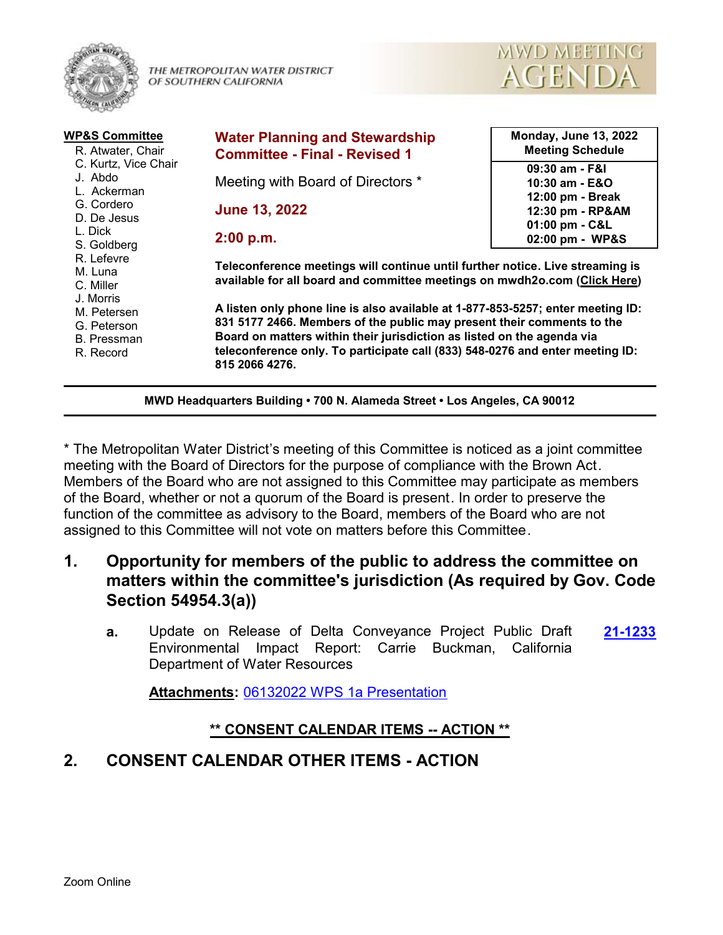

THE METROPOLITAN WATER DISTRICT OF SOUTHERN CALIFORNIA



| <b>WP&amp;S Committee</b><br>R. Atwater, Chair                      | <b>Water Planning and Stewardship</b><br><b>Committee - Final - Revised 1</b>                                                                                                                                                                                                                                                          | <b>Monday, June 13, 2022</b><br><b>Meeting Schedule</b> |
|---------------------------------------------------------------------|----------------------------------------------------------------------------------------------------------------------------------------------------------------------------------------------------------------------------------------------------------------------------------------------------------------------------------------|---------------------------------------------------------|
| C. Kurtz, Vice Chair<br>J. Abdo<br>L. Ackerman                      | Meeting with Board of Directors *                                                                                                                                                                                                                                                                                                      | 09:30 am - F&I<br>10:30 am - E&O                        |
| G. Cordero<br>D. De Jesus                                           | <b>June 13, 2022</b>                                                                                                                                                                                                                                                                                                                   | 12:00 pm - Break<br>12:30 pm - RP&AM<br>01:00 pm - C&L  |
| L. Dick<br>S. Goldberg                                              | 2:00 p.m.                                                                                                                                                                                                                                                                                                                              | 02:00 pm - WP&S                                         |
| R. Lefevre<br>M. Luna<br>C. Miller                                  | Teleconference meetings will continue until further notice. Live streaming is<br>available for all board and committee meetings on mwdh2o.com (Click Here)                                                                                                                                                                             |                                                         |
| J. Morris<br>M. Petersen<br>G. Peterson<br>B. Pressman<br>R. Record | A listen only phone line is also available at 1-877-853-5257; enter meeting ID:<br>831 5177 2466. Members of the public may present their comments to the<br>Board on matters within their jurisdiction as listed on the agenda via<br>teleconference only. To participate call (833) 548-0276 and enter meeting ID:<br>815 2066 4276. |                                                         |

**MWD Headquarters Building • 700 N. Alameda Street • Los Angeles, CA 90012**

\* The Metropolitan Water District's meeting of this Committee is noticed as a joint committee meeting with the Board of Directors for the purpose of compliance with the Brown Act. Members of the Board who are not assigned to this Committee may participate as members of the Board, whether or not a quorum of the Board is present. In order to preserve the function of the committee as advisory to the Board, members of the Board who are not assigned to this Committee will not vote on matters before this Committee.

- **1. Opportunity for members of the public to address the committee on matters within the committee's jurisdiction (As required by Gov. Code Section 54954.3(a))**
	- **a.** Update on Release of Delta Conveyance Project Public Draft **[21-1233](http://mwdh2o.legistar.com/gateway.aspx?m=l&id=/matter.aspx?key=2325)** Environmental Impact Report: Carrie Buckman, California Department of Water Resources

**Attachments:** [06132022 WPS 1a Presentation](http://mwdh2o.legistar.com/gateway.aspx?M=F&ID=0d678fa9-1207-439b-82fb-95e979880651.pdf)

### **\*\* CONSENT CALENDAR ITEMS -- ACTION \*\***

# **2. CONSENT CALENDAR OTHER ITEMS - ACTION**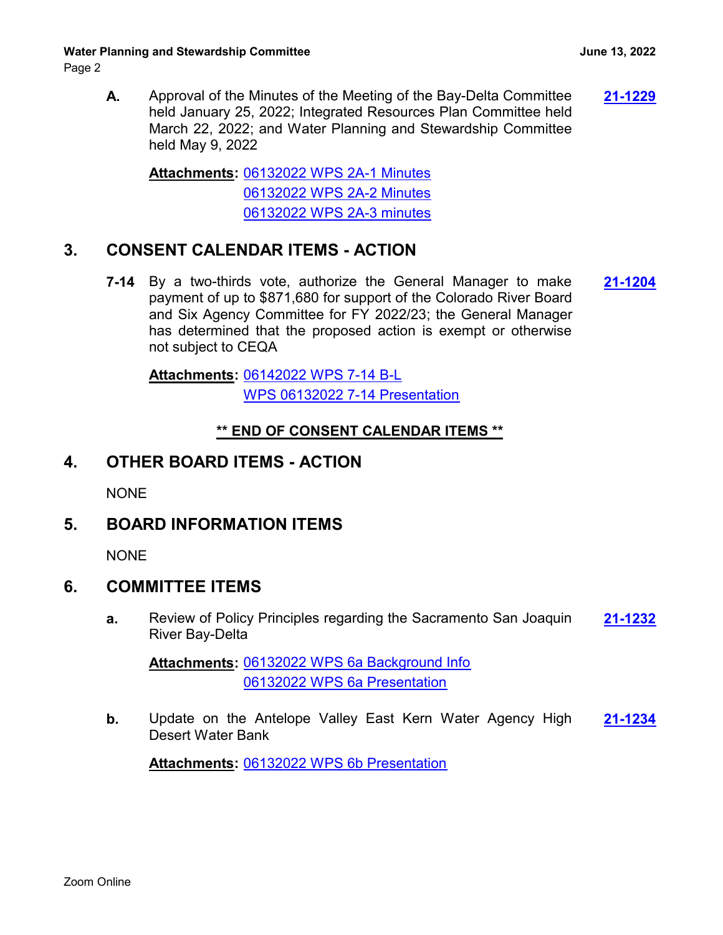Page 2

**A.** Approval of the Minutes of the Meeting of the Bay-Delta Committee **[21-1229](http://mwdh2o.legistar.com/gateway.aspx?m=l&id=/matter.aspx?key=2321)** held January 25, 2022; Integrated Resources Plan Committee held March 22, 2022; and Water Planning and Stewardship Committee held May 9, 2022

[06132022 WPS 2A-1 Minutes](http://mwdh2o.legistar.com/gateway.aspx?M=F&ID=753bd7db-4700-40ec-9e5f-1e535b5f6d34.pdf) **Attachments:** [06132022 WPS 2A-2 Minutes](http://mwdh2o.legistar.com/gateway.aspx?M=F&ID=147476e8-0869-4487-9f83-45223fac5907.pdf) [06132022 WPS 2A-3 minutes](http://mwdh2o.legistar.com/gateway.aspx?M=F&ID=c8ebfc03-8ab4-48af-a0a5-3ede332528a9.pdf)

## **3. CONSENT CALENDAR ITEMS - ACTION**

**7-14** By a two-thirds vote, authorize the General Manager to make **[21-1204](http://mwdh2o.legistar.com/gateway.aspx?m=l&id=/matter.aspx?key=2296)** payment of up to \$871,680 for support of the Colorado River Board and Six Agency Committee for FY 2022/23; the General Manager has determined that the proposed action is exempt or otherwise not subject to CEQA

[06142022 WPS 7-14 B-L](http://mwdh2o.legistar.com/gateway.aspx?M=F&ID=33521891-1d6a-4412-b335-d48ff66c070d.pdf) **Attachments:** [WPS 06132022 7-14 Presentation](http://mwdh2o.legistar.com/gateway.aspx?M=F&ID=c6650e97-402a-49ac-89c8-335c4feef6e5.pdf)

#### **\*\* END OF CONSENT CALENDAR ITEMS \*\***

## **4. OTHER BOARD ITEMS - ACTION**

NONE

## **5. BOARD INFORMATION ITEMS**

**NONE** 

### **6. COMMITTEE ITEMS**

**a.** Review of Policy Principles regarding the Sacramento San Joaquin **[21-1232](http://mwdh2o.legistar.com/gateway.aspx?m=l&id=/matter.aspx?key=2324)** River Bay-Delta

[06132022 WPS 6a Background Info](http://mwdh2o.legistar.com/gateway.aspx?M=F&ID=8f23b6d2-bcb3-4611-b4ba-9ecf7ebc9ab0.pdf) **Attachments:** [06132022 WPS 6a Presentation](http://mwdh2o.legistar.com/gateway.aspx?M=F&ID=2b8e8020-288c-40ef-8142-db3ec5e9c4e8.pdf)

**b.** Update on the Antelope Valley East Kern Water Agency High **[21-1234](http://mwdh2o.legistar.com/gateway.aspx?m=l&id=/matter.aspx?key=2326)** Desert Water Bank

**Attachments:** [06132022 WPS 6b Presentation](http://mwdh2o.legistar.com/gateway.aspx?M=F&ID=460e1e03-f6cc-4ea7-abe9-4a627e804222.pdf)